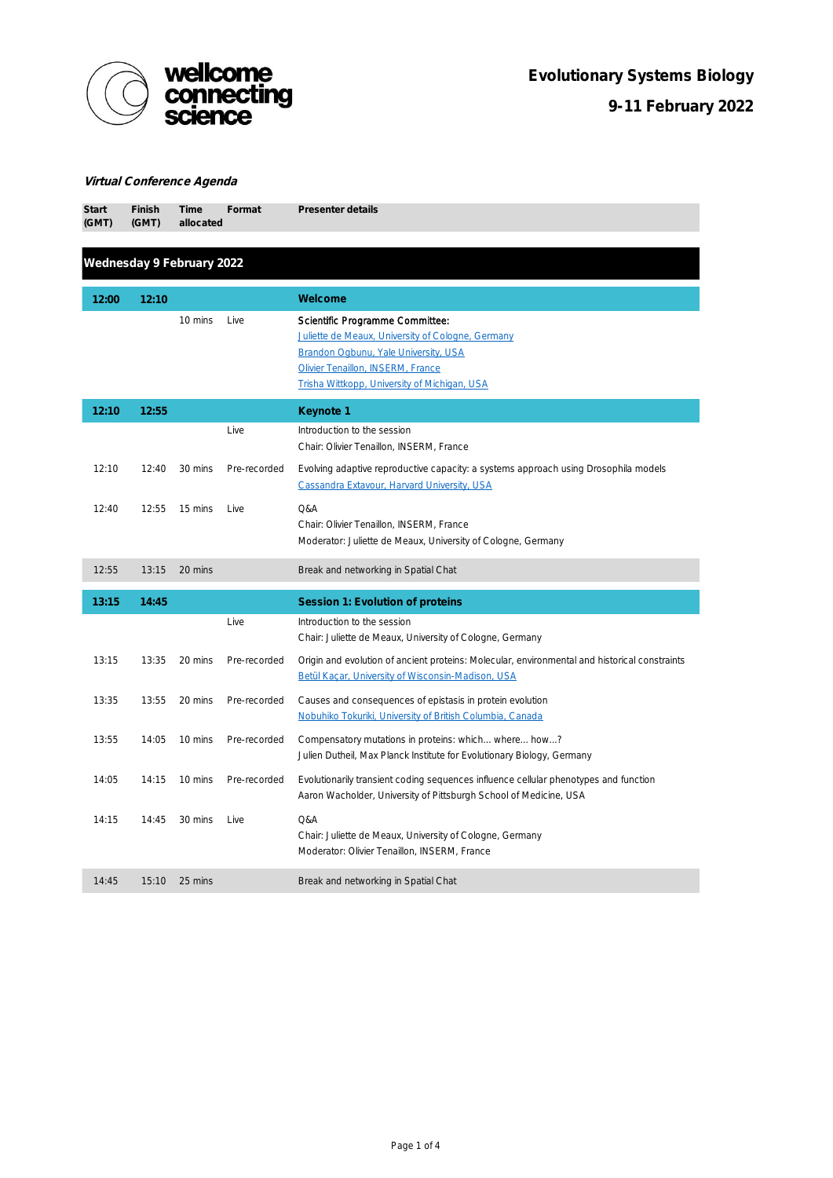

## Virtual Conference Agenda

| <b>Start</b><br>(GMT)     | Finish<br>(GMT) | Time<br>allocated | Format       | Presenter details                                                                                                                                                                                                 |  |  |
|---------------------------|-----------------|-------------------|--------------|-------------------------------------------------------------------------------------------------------------------------------------------------------------------------------------------------------------------|--|--|
| Wednesday 9 February 2022 |                 |                   |              |                                                                                                                                                                                                                   |  |  |
| 12:00                     | 12:10           |                   |              | Welcome                                                                                                                                                                                                           |  |  |
|                           |                 | 10 mins           | Live         | Scientific Programme Committee:<br>Juliette de Meaux, University of Cologne, Germany<br>Brandon Ogbunu, Yale University, USA<br>Olivier Tenaillon, INSERM, France<br>Trisha Wittkopp, University of Michigan, USA |  |  |
| 12:10                     | 12:55           |                   |              | Keynote 1                                                                                                                                                                                                         |  |  |
|                           |                 |                   | Live         | Introduction to the session<br>Chair: Olivier Tenaillon, INSERM, France                                                                                                                                           |  |  |
| 12:10                     | 12:40           | 30 mins           | Pre-recorded | Evolving adaptive reproductive capacity: a systems approach using Drosophila models<br>Cassandra Extavour, Harvard University, USA                                                                                |  |  |
| 12:40                     | 12:55           | 15 mins           | Live         | Q&A<br>Chair: Olivier Tenaillon, INSERM, France<br>Moderator: Juliette de Meaux, University of Cologne, Germany                                                                                                   |  |  |
| 12:55                     | 13:15           | 20 mins           |              | Break and networking in Spatial Chat                                                                                                                                                                              |  |  |
| 13:15                     | 14:45           |                   |              | Session 1: Evolution of proteins                                                                                                                                                                                  |  |  |
|                           |                 |                   | Live         | Introduction to the session<br>Chair: Juliette de Meaux, University of Cologne, Germany                                                                                                                           |  |  |
| 13:15                     | 13:35           | 20 mins           | Pre-recorded | Origin and evolution of ancient proteins: Molecular, environmental and historical constraints<br><b>Betül Kacar, University of Wisconsin-Madison, USA</b>                                                         |  |  |
| 13:35                     | 13:55           | 20 mins           | Pre-recorded | Causes and consequences of epistasis in protein evolution<br>Nobuhiko Tokuriki, University of British Columbia, Canada                                                                                            |  |  |
| 13:55                     | 14:05           | 10 mins           | Pre-recorded | Compensatory mutations in proteins: which where how?<br>Julien Dutheil, Max Planck Institute for Evolutionary Biology, Germany                                                                                    |  |  |
| 14:05                     | 14:15           | 10 mins           | Pre-recorded | Evolutionarily transient coding sequences influence cellular phenotypes and function<br>Aaron Wacholder, University of Pittsburgh School of Medicine, USA                                                         |  |  |
| 14:15                     | 14:45           | 30 mins           | Live         | Q&A<br>Chair: Juliette de Meaux, University of Cologne, Germany<br>Moderator: Olivier Tenaillon, INSERM, France                                                                                                   |  |  |
| 14:45                     | 15:10           | 25 mins           |              | Break and networking in Spatial Chat                                                                                                                                                                              |  |  |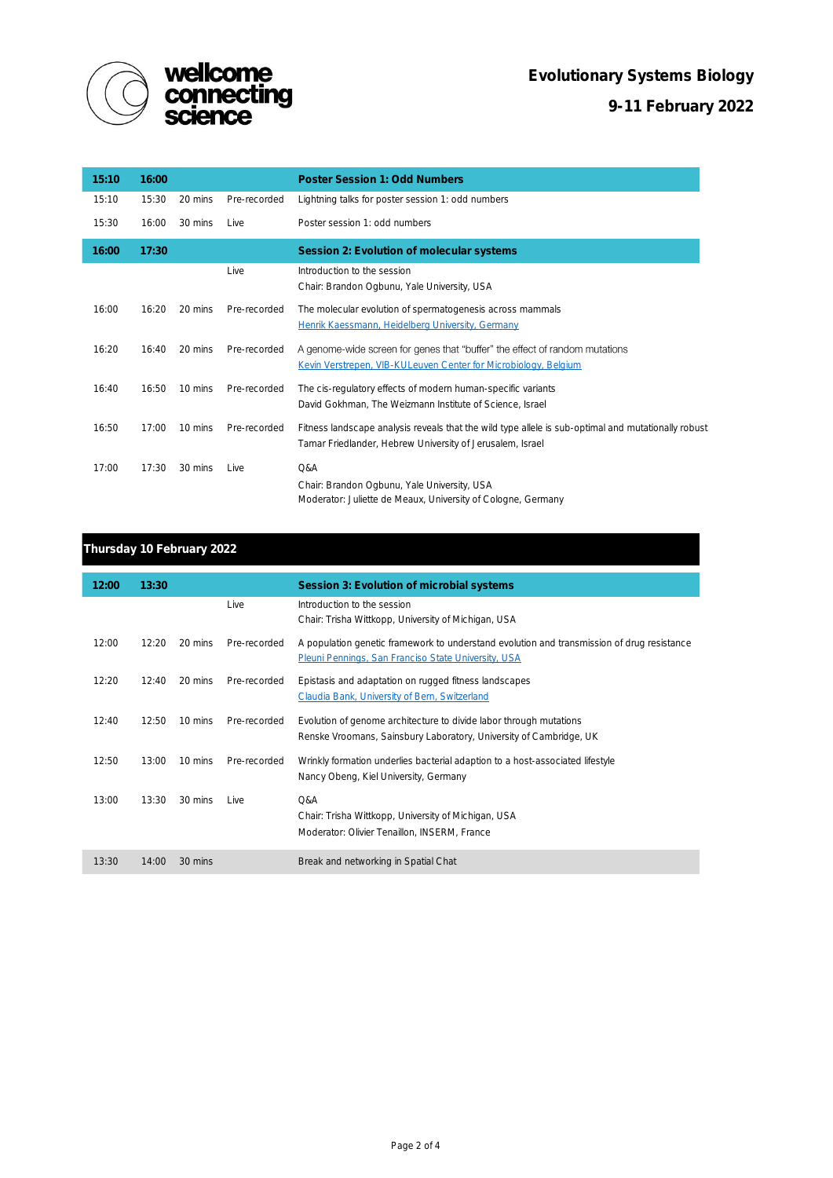

| 15:10 | 16:00 |         |              | Poster Session 1: Odd Numbers                                                                                                                                    |
|-------|-------|---------|--------------|------------------------------------------------------------------------------------------------------------------------------------------------------------------|
| 15:10 | 15:30 | 20 mins | Pre-recorded | Lightning talks for poster session 1: odd numbers                                                                                                                |
| 15:30 | 16:00 | 30 mins | I ive        | Poster session 1: odd numbers                                                                                                                                    |
| 16:00 | 17:30 |         |              | Session 2: Evolution of molecular systems                                                                                                                        |
|       |       |         | Live         | Introduction to the session<br>Chair: Brandon Ogbunu, Yale University, USA                                                                                       |
| 16:00 | 16:20 | 20 mins | Pre-recorded | The molecular evolution of spermatogenesis across mammals<br>Henrik Kaessmann, Heidelberg University, Germany                                                    |
| 16:20 | 16:40 | 20 mins | Pre-recorded | A genome-wide screen for genes that "buffer" the effect of random mutations<br>Kevin Verstrepen, VIB-KULeuven Center for Microbiology, Belgium                   |
| 16:40 | 16:50 | 10 mins | Pre-recorded | The cis-regulatory effects of modern human-specific variants<br>David Gokhman, The Weizmann Institute of Science, Israel                                         |
| 16:50 | 17:00 | 10 mins | Pre-recorded | Fitness landscape analysis reveals that the wild type allele is sub-optimal and mutationally robust<br>Tamar Friedlander, Hebrew University of Jerusalem, Israel |
| 17:00 | 17:30 | 30 mins | Live         | Q&A<br>Chair: Brandon Ogbunu, Yale University, USA<br>Moderator: Juliette de Meaux, University of Cologne, Germany                                               |

## Thursday 10 February 2022

| 12:00 | 13:30 |         |              | Session 3: Evolution of microbial systems                                                                                                         |
|-------|-------|---------|--------------|---------------------------------------------------------------------------------------------------------------------------------------------------|
|       |       |         | Live         | Introduction to the session<br>Chair: Trisha Wittkopp, University of Michigan, USA                                                                |
| 12:00 | 12:20 | 20 mins | Pre-recorded | A population genetic framework to understand evolution and transmission of drug resistance<br>Pleuni Pennings, San Franciso State University, USA |
| 12:20 | 12:40 | 20 mins | Pre-recorded | Epistasis and adaptation on rugged fitness landscapes<br>Claudia Bank, University of Bern, Switzerland                                            |
| 12:40 | 12:50 | 10 mins | Pre-recorded | Evolution of genome architecture to divide labor through mutations<br>Renske Vroomans, Sainsbury Laboratory, University of Cambridge, UK          |
| 12:50 | 13:00 | 10 mins | Pre-recorded | Wrinkly formation underlies bacterial adaption to a host-associated lifestyle<br>Nancy Obeng, Kiel University, Germany                            |
| 13:00 | 13:30 | 30 mins | I ive        | Q&A<br>Chair: Trisha Wittkopp, University of Michigan, USA<br>Moderator: Olivier Tenaillon, INSERM, France                                        |
| 13:30 | 14:00 | 30 mins |              | Break and networking in Spatial Chat                                                                                                              |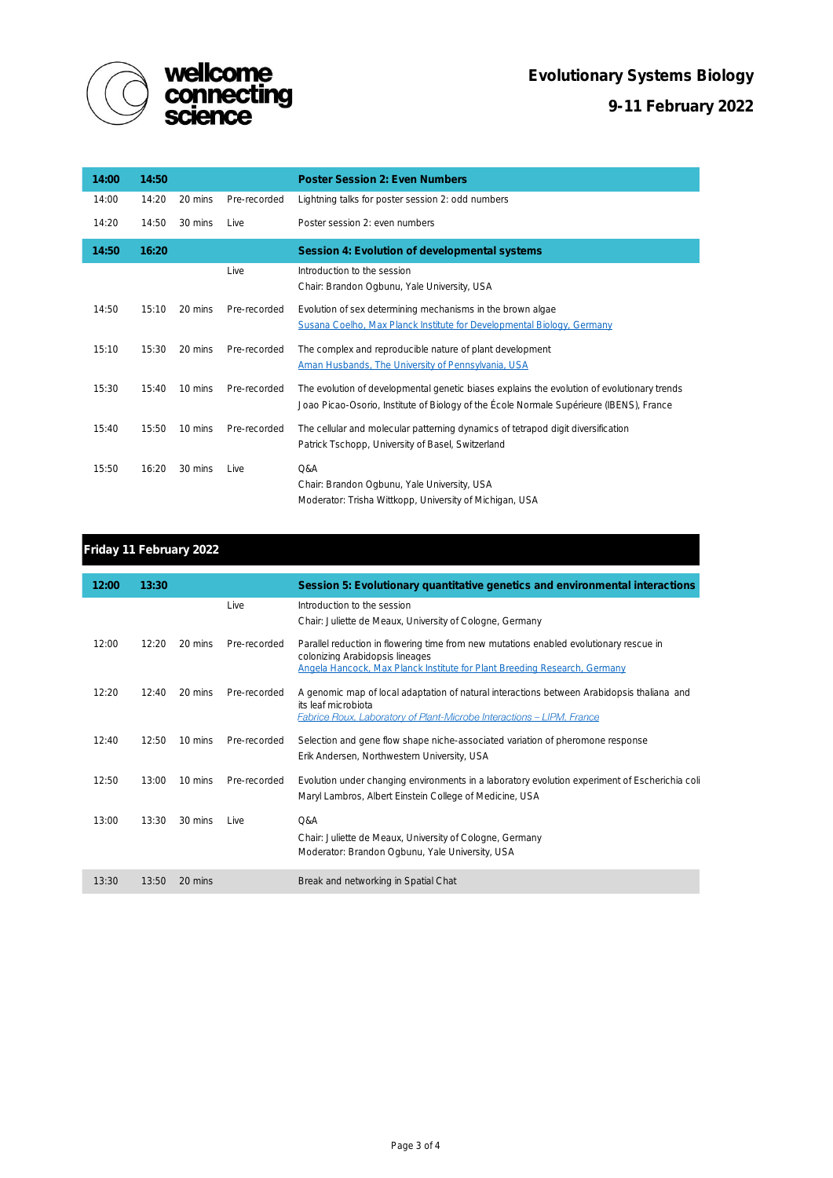

| 14:00 | 14:50 |         |              | Poster Session 2: Even Numbers                                                                                                                                                         |
|-------|-------|---------|--------------|----------------------------------------------------------------------------------------------------------------------------------------------------------------------------------------|
| 14:00 | 14:20 | 20 mins | Pre-recorded | Lightning talks for poster session 2: odd numbers                                                                                                                                      |
| 14:20 | 14:50 | 30 mins | Live         | Poster session 2: even numbers                                                                                                                                                         |
| 14:50 | 16:20 |         |              | Session 4: Evolution of developmental systems                                                                                                                                          |
|       |       |         | Live         | Introduction to the session<br>Chair: Brandon Ogbunu, Yale University, USA                                                                                                             |
| 14:50 | 15:10 | 20 mins | Pre-recorded | Evolution of sex determining mechanisms in the brown algae<br>Susana Coelho, Max Planck Institute for Developmental Biology, Germany                                                   |
| 15:10 | 15:30 | 20 mins | Pre-recorded | The complex and reproducible nature of plant development<br>Aman Husbands, The University of Pennsylvania, USA                                                                         |
| 15:30 | 15:40 | 10 mins | Pre-recorded | The evolution of developmental genetic biases explains the evolution of evolutionary trends<br>Joao Picao-Osorio, Institute of Biology of the École Normale Supérieure (IBENS), France |
| 15:40 | 15:50 | 10 mins | Pre-recorded | The cellular and molecular patterning dynamics of tetrapod digit diversification<br>Patrick Tschopp, University of Basel, Switzerland                                                  |
| 15:50 | 16:20 | 30 mins | Live         | Q&A<br>Chair: Brandon Ogbunu, Yale University, USA<br>Moderator: Trisha Wittkopp, University of Michigan, USA                                                                          |

## Friday 11 February 2022

| 12:00 | 13:30 |         |              | Session 5: Evolutionary quantitative genetics and environmental interactions                                                                                                                                  |
|-------|-------|---------|--------------|---------------------------------------------------------------------------------------------------------------------------------------------------------------------------------------------------------------|
|       |       |         | Live         | Introduction to the session                                                                                                                                                                                   |
|       |       |         |              | Chair: Juliette de Meaux, University of Cologne, Germany                                                                                                                                                      |
| 12:00 | 12:20 | 20 mins | Pre-recorded | Parallel reduction in flowering time from new mutations enabled evolutionary rescue in<br>colonizing Arabidopsis lineages<br><b>Angela Hancock, Max Planck Institute for Plant Breeding Research, Germany</b> |
| 12:20 | 12:40 | 20 mins | Pre-recorded | A genomic map of local adaptation of natural interactions between Arabidopsis thaliana and<br>its leaf microbiota<br><b>Fabrice Roux, Laboratory of Plant-Microbe Interactions - LIPM, France</b>             |
| 12:40 | 12:50 | 10 mins | Pre-recorded | Selection and gene flow shape niche-associated variation of pheromone response<br>Erik Andersen, Northwestern University, USA                                                                                 |
| 12:50 | 13:00 | 10 mins | Pre-recorded | Evolution under changing environments in a laboratory evolution experiment of Escherichia coli<br>Maryl Lambros, Albert Einstein College of Medicine, USA                                                     |
| 13:00 | 13:30 | 30 mins | I ive        | O&A<br>Chair: Juliette de Meaux, University of Cologne, Germany<br>Moderator: Brandon Ogbunu, Yale University, USA                                                                                            |
| 13:30 | 13:50 | 20 mins |              | Break and networking in Spatial Chat                                                                                                                                                                          |